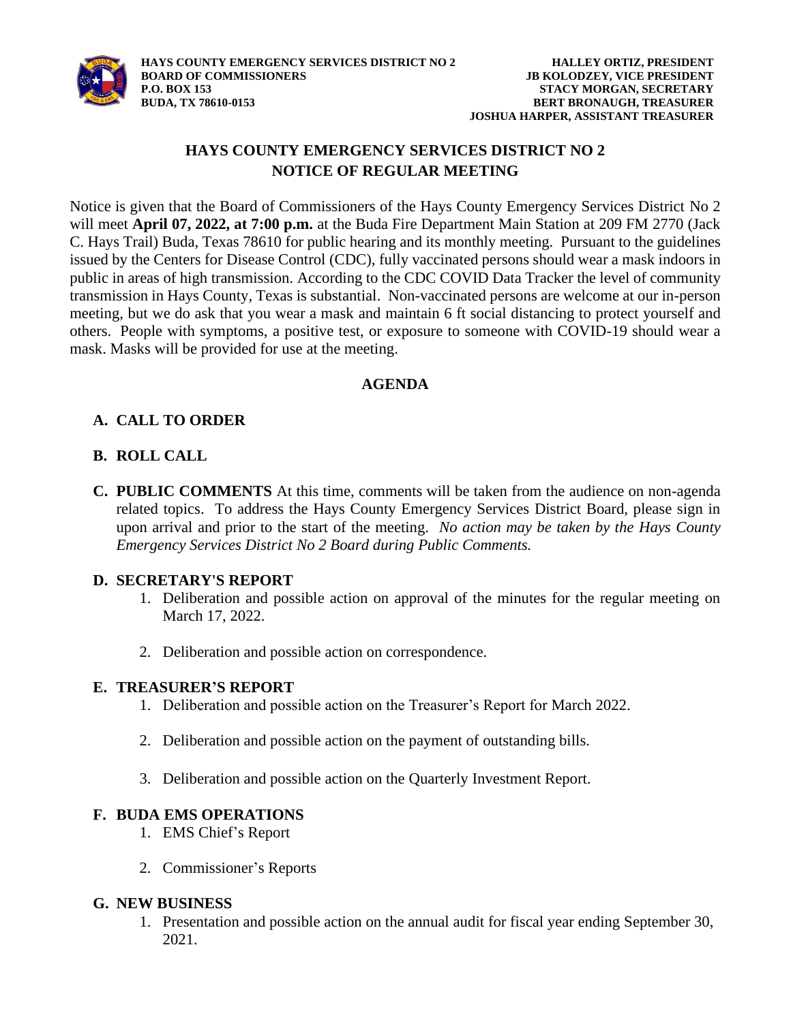

# **HAYS COUNTY EMERGENCY SERVICES DISTRICT NO 2 NOTICE OF REGULAR MEETING**

Notice is given that the Board of Commissioners of the Hays County Emergency Services District No 2 will meet **April 07, 2022, at 7:00 p.m.** at the Buda Fire Department Main Station at 209 FM 2770 (Jack C. Hays Trail) Buda, Texas 78610 for public hearing and its monthly meeting. Pursuant to the guidelines issued by the Centers for Disease Control (CDC), fully vaccinated persons should wear a mask indoors in public in areas of high transmission. According to the CDC COVID Data Tracker the level of community transmission in Hays County, Texas is substantial. Non-vaccinated persons are welcome at our in-person meeting, but we do ask that you wear a mask and maintain 6 ft social distancing to protect yourself and others. People with symptoms, a positive test, or exposure to someone with COVID-19 should wear a mask. Masks will be provided for use at the meeting.

### **AGENDA**

# **A. CALL TO ORDER**

## **B. ROLL CALL**

**C. PUBLIC COMMENTS** At this time, comments will be taken from the audience on non-agenda related topics. To address the Hays County Emergency Services District Board, please sign in upon arrival and prior to the start of the meeting. *No action may be taken by the Hays County Emergency Services District No 2 Board during Public Comments.*

### **D. SECRETARY'S REPORT**

- 1. Deliberation and possible action on approval of the minutes for the regular meeting on March 17, 2022.
- 2. Deliberation and possible action on correspondence.

### **E. TREASURER'S REPORT**

- 1. Deliberation and possible action on the Treasurer's Report for March 2022.
- 2. Deliberation and possible action on the payment of outstanding bills.
- 3. Deliberation and possible action on the Quarterly Investment Report.

### **F. BUDA EMS OPERATIONS**

- 1. EMS Chief's Report
- 2. Commissioner's Reports

#### **G. NEW BUSINESS**

1. Presentation and possible action on the annual audit for fiscal year ending September 30, 2021.